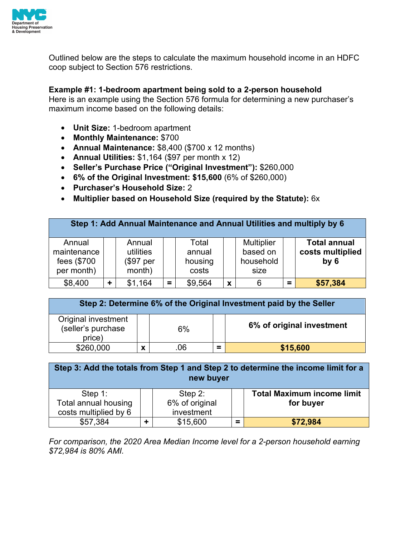

Outlined below are the steps to calculate the maximum household income in an HDFC coop subject to Section 576 restrictions.

## **Example #1: 1-bedroom apartment being sold to a 2-person household**

Here is an example using the Section 576 formula for determining a new purchaser's maximum income based on the following details:

- **Unit Size:** 1-bedroom apartment
- **Monthly Maintenance:** \$700
- **Annual Maintenance:** \$8,400 (\$700 x 12 months)
- **Annual Utilities:** \$1,164 (\$97 per month x 12)
- **Seller's Purchase Price ("Original Investment"):** \$260,000
- **6% of the Original Investment: \$15,600** (6% of \$260,000)
- **Purchaser's Household Size:** 2
- **Multiplier based on Household Size (required by the Statute):** 6x

| Step 1: Add Annual Maintenance and Annual Utilities and multiply by 6 |           |                                            |          |                                     |   |                                                    |             |                                                            |
|-----------------------------------------------------------------------|-----------|--------------------------------------------|----------|-------------------------------------|---|----------------------------------------------------|-------------|------------------------------------------------------------|
| Annual<br>maintenance<br>fees (\$700<br>per month)                    |           | Annual<br>utilities<br>(\$97 per<br>month) |          | Total<br>annual<br>housing<br>costs |   | <b>Multiplier</b><br>based on<br>household<br>size |             | <b>Total annual</b><br>costs multiplied<br>by <sub>6</sub> |
| \$8,400                                                               | $\ddot{}$ | \$1,164                                    | $\equiv$ | \$9,564                             | X | 6                                                  | $\sim$<br>- | \$57,384                                                   |

| Step 2: Determine 6% of the Original Investment paid by the Seller |   |     |          |                           |  |  |  |  |
|--------------------------------------------------------------------|---|-----|----------|---------------------------|--|--|--|--|
| Original investment<br>(seller's purchase<br>6%<br>price)          |   |     |          | 6% of original investment |  |  |  |  |
| \$260,000                                                          | x | .06 | $\equiv$ | \$15,600                  |  |  |  |  |

| Step 3: Add the totals from Step 1 and Step 2 to determine the income limit for a<br>new buyer |  |                |          |                                   |  |  |  |
|------------------------------------------------------------------------------------------------|--|----------------|----------|-----------------------------------|--|--|--|
| Step $1$ :                                                                                     |  | Step $2$ :     |          | <b>Total Maximum income limit</b> |  |  |  |
| <b>Total annual housing</b>                                                                    |  | 6% of original |          | for buyer                         |  |  |  |
| costs multiplied by 6                                                                          |  |                |          |                                   |  |  |  |
| \$57,384                                                                                       |  | \$15,600       | $\equiv$ | \$72,984                          |  |  |  |

*For comparison, the 2020 Area Median Income level for a 2-person household earning \$72,984 is 80% AMI.*